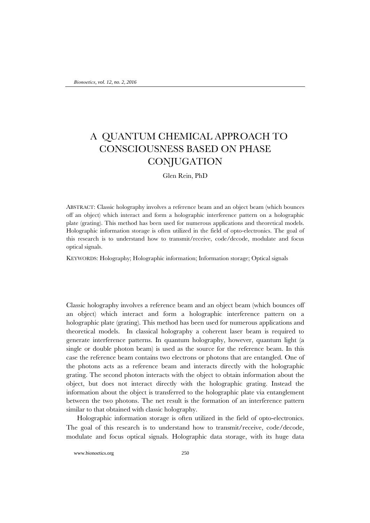# A QUANTUM CHEMICAL APPROACH TO CONSCIOUSNESS BASED ON PHASE **CONJUGATION**

Glen Rein, PhD

ABSTRACT: Classic holography involves a reference beam and an object beam (which bounces off an object) which interact and form a holographic interference pattern on a holographic plate (grating). This method has been used for numerous applications and theoretical models. Holographic information storage is often utilized in the field of opto-electronics. The goal of this research is to understand how to transmit/receive, code/decode, modulate and focus optical signals.

KEYWORDS: Holography; Holographic information; Information storage; Optical signals

Classic holography involves a reference beam and an object beam (which bounces off an object) which interact and form a holographic interference pattern on a holographic plate (grating). This method has been used for numerous applications and theoretical models. In classical holography a coherent laser beam is required to generate interference patterns. In quantum holography, however, quantum light (a single or double photon beam) is used as the source for the reference beam. In this case the reference beam contains two electrons or photons that are entangled. One of the photons acts as a reference beam and interacts directly with the holographic grating. The second photon interacts with the object to obtain information about the object, but does not interact directly with the holographic grating. Instead the information about the object is transferred to the holographic plate via entanglement between the two photons. The net result is the formation of an interference pattern similar to that obtained with classic holography.

Holographic information storage is often utilized in the field of opto-electronics. The goal of this research is to understand how to transmit/receive, code/decode, modulate and focus optical signals. Holographic data storage, with its huge data

www.bionoetics.org 250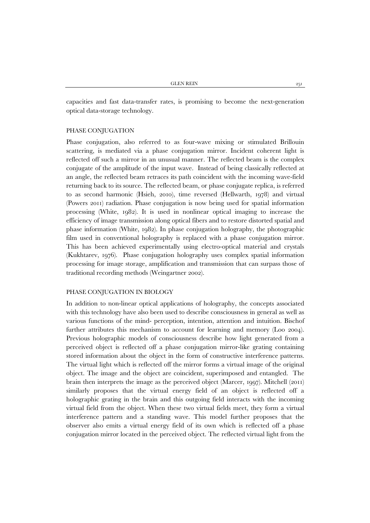capacities and fast data-transfer rates, is promising to become the next-generation optical data-storage technology.

#### PHASE CONJUGATION

Phase conjugation, also referred to as four-wave mixing or stimulated Brillouin scattering, is mediated via a phase conjugation mirror. Incident coherent light is reflected off such a mirror in an unusual manner. The reflected beam is the complex conjugate of the amplitude of the input wave. Instead of being classically reflected at an angle, the reflected beam retraces its path coincident with the incoming wave-field returning back to its source. The reflected beam, or phase conjugate replica, is referred to as second harmonic (Hsieh, 2010), time reversed (Hellwarth, 1978) and virtual (Powers 2011) radiation. Phase conjugation is now being used for spatial information processing (White, 1982). It is used in nonlinear optical imaging to increase the efficiency of image transmission along optical fibers and to restore distorted spatial and phase information (White, 1982). In phase conjugation holography, the photographic film used in conventional holography is replaced with a phase conjugation mirror. This has been achieved experimentally using electro-optical material and crystals (Kukhtarev, 1976). Phase conjugation holography uses complex spatial information processing for image storage, amplification and transmission that can surpass those of traditional recording methods (Weingartner 2002).

## PHASE CONJUGATION IN BIOLOGY

In addition to non-linear optical applications of holography, the concepts associated with this technology have also been used to describe consciousness in general as well as various functions of the mind- perception, intention, attention and intuition. Bischof further attributes this mechanism to account for learning and memory (Loo 2004). Previous holographic models of consciousness describe how light generated from a perceived object is reflected off a phase conjugation mirror-like grating containing stored information about the object in the form of constructive interference patterns. The virtual light which is reflected off the mirror forms a virtual image of the original object. The image and the object are coincident, superimposed and entangled. The brain then interprets the image as the perceived object (Marcer, 1997). Mitchell (2011) similarly proposes that the virtual energy field of an object is reflected off a holographic grating in the brain and this outgoing field interacts with the incoming virtual field from the object. When these two virtual fields meet, they form a virtual interference pattern and a standing wave. This model further proposes that the observer also emits a virtual energy field of its own which is reflected off a phase conjugation mirror located in the perceived object. The reflected virtual light from the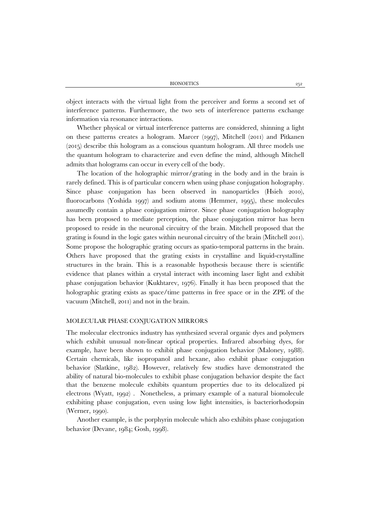BIONOETICS 252

object interacts with the virtual light from the perceiver and forms a second set of interference patterns. Furthermore, the two sets of interference patterns exchange information via resonance interactions.

Whether physical or virtual interference patterns are considered, shinning a light on these patterns creates a hologram. Marcer (1997), Mitchell (2011) and Pitkanen (2015) describe this hologram as a conscious quantum hologram. All three models use the quantum hologram to characterize and even define the mind, although Mitchell admits that holograms can occur in every cell of the body.

The location of the holographic mirror/grating in the body and in the brain is rarely defined. This is of particular concern when using phase conjugation holography. Since phase conjugation has been observed in nanoparticles (Hsieh 2010), fluorocarbons (Yoshida 1997) and sodium atoms (Hemmer, 1995), these molecules assumedly contain a phase conjugation mirror. Since phase conjugation holography has been proposed to mediate perception, the phase conjugation mirror has been proposed to reside in the neuronal circuitry of the brain. Mitchell proposed that the grating is found in the logic gates within neuronal circuitry of the brain (Mitchell 2011). Some propose the holographic grating occurs as spatio-temporal patterns in the brain. Others have proposed that the grating exists in crystalline and liquid-crystalline structures in the brain. This is a reasonable hypothesis because there is scientific evidence that planes within a crystal interact with incoming laser light and exhibit phase conjugation behavior (Kukhtarev, 1976). Finally it has been proposed that the holographic grating exists as space/time patterns in free space or in the ZPE of the vacuum (Mitchell, 2011) and not in the brain.

### MOLECULAR PHASE CONJUGATION MIRRORS

The molecular electronics industry has synthesized several organic dyes and polymers which exhibit unusual non-linear optical properties. Infrared absorbing dyes, for example, have been shown to exhibit phase conjugation behavior (Maloney, 1988). Certain chemicals, like isopropanol and hexane, also exhibit phase conjugation behavior (Slatkine, 1982). However, relatively few studies have demonstrated the ability of natural bio-molecules to exhibit phase conjugation behavior despite the fact that the benzene molecule exhibits quantum properties due to its delocalized pi electrons (Wyatt, 1992) . Nonetheless, a primary example of a natural biomolecule exhibiting phase conjugation, even using low light intensities, is bacteriorhodopsin (Werner, 1990).

Another example, is the porphyrin molecule which also exhibits phase conjugation behavior (Devane, 1984; Gosh, 1998).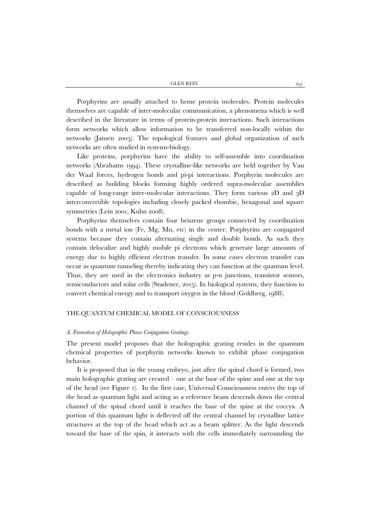GLEN REIN 253

Porphyrins are usually attached to heme protein molecules. Protein molecules themselves are capable of inter-molecular communication, a phenomena which is well described in the literature in terms of protein-protein interactions. Such interactions form networks which allow information to be transferred non-locally within the networks (Jansen 2003). The topological features and global organization of such networks are often studied in systems-biology.

Like proteins, porphyrins have the ability to self-assemble into coordination networks (Abrahams 1994). These crystalline-like networks are held together by Van der Waal forces, hydrogen bonds and pi-pi interactions. Porphyrin molecules are described as building blocks forming highly ordered supra-molecular assemblies capable of long-range inter-molecular interactions. They form various 2D and 3D interconvertible topologies including closely packed rhombic, hexagonal and square symmetries (Lein 2001, Kuhn 2008).

Porphyrins themselves contain four benzene groups connected by coordination bonds with a metal ion (Fe, Mg, Mn, etc) in the center. Porphyrins are conjugated systems because they contain alternating single and double bonds. As such they contain delocalize and highly mobile pi electrons which generate large amounts of energy due to highly efficient electron transfer. In some cases electron transfer can occur as quantum tunneling thereby indicating they can function at the quantum level. Thus, they are used in the electronics industry as p-n junctions, transistor sensors, semiconductors and solar cells (Studener, 2015). In biological systems, they function to convert chemical energy and to transport oxygen in the blood (Goldberg, 1988).

#### THE QUANTUM CHEMICAL MODEL OF CONSCIOUSNESS

#### *A. Formation of Holographic Phase-Conjugation Gratings*

The present model proposes that the holographic grating resides in the quantum chemical properties of porphyrin networks known to exhibit phase conjugation behavior.

It is proposed that in the young embryo, just after the spinal chord is formed, two main holographic grating are created – one at the base of the spine and one at the top of the head (see Figure 1). In the first case, Universal Consciousness enters the top of the head as quantum light and acting as a reference beam descends down the central channel of the spinal chord until it reaches the base of the spine at the coccyx. A portion of this quantum light is deflected off the central channel by crystalline lattice structures at the top of the head which act as a beam splitter. As the light descends toward the base of the spin, it interacts with the cells immediately surrounding the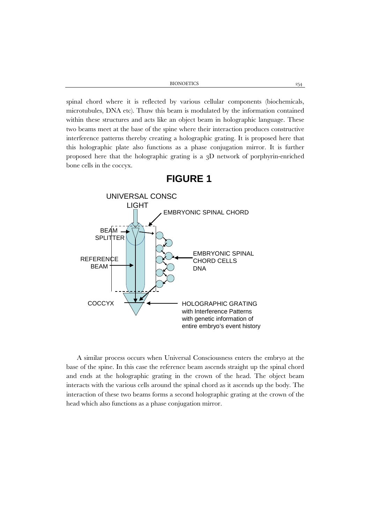BIONOETICS 254

spinal chord where it is reflected by various cellular components (biochemicals, microtubules, DNA etc). Thuw this beam is modulated by the information contained within these structures and acts like an object beam in holographic language. These two beams meet at the base of the spine where their interaction produces constructive interference patterns thereby creating a holographic grating. It is proposed here that this holographic plate also functions as a phase conjugation mirror. It is further proposed here that the holographic grating is a 3D network of porphyrin-enriched bone cells in the coccyx.



**FIGURE 1**

A similar process occurs when Universal Consciousness enters the embryo at the base of the spine. In this case the reference beam ascends straight up the spinal chord and ends at the holographic grating in the crown of the head. The object beam interacts with the various cells around the spinal chord as it ascends up the body. The interaction of these two beams forms a second holographic grating at the crown of the head which also functions as a phase conjugation mirror.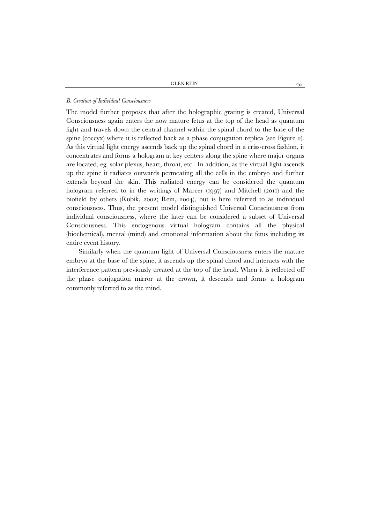#### *B. Creation of Individual Consciousness*

The model further proposes that after the holographic grating is created, Universal Consciousness again enters the now mature fetus at the top of the head as quantum light and travels down the central channel within the spinal chord to the base of the spine (coccyx) where it is reflected back as a phase conjugation replica (see Figure 2). As this virtual light energy ascends back up the spinal chord in a criss-cross fashion, it concentrates and forms a hologram at key centers along the spine where major organs are located, eg. solar plexus, heart, throat, etc. In addition, as the virtual light ascends up the spine it radiates outwards permeating all the cells in the embryo and further extends beyond the skin. This radiated energy can be considered the quantum hologram referred to in the writings of Marcer (1997) and Mitchell (2011) and the biofield by others (Rubik, 2002; Rein, 2004), but is here referred to as individual consciousness. Thus, the present model distinguished Universal Consciousness from individual consciousness, where the later can be considered a subset of Universal Consciousness. This endogenous virtual hologram contains all the physical (biochemical), mental (mind) and emotional information about the fetus including its entire event history.

Similarly when the quantum light of Universal Consciousness enters the mature embryo at the base of the spine, it ascends up the spinal chord and interacts with the interference pattern previously created at the top of the head. When it is reflected off the phase conjugation mirror at the crown, it descends and forms a hologram commonly referred to as the mind.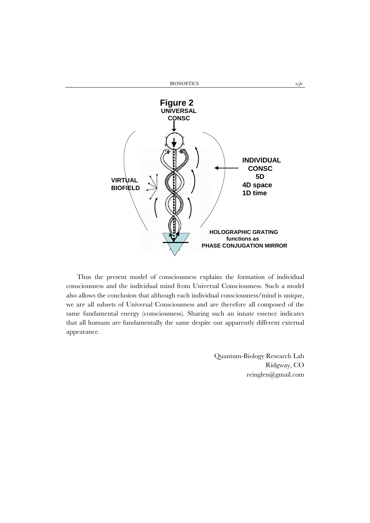

Thus the present model of consciousness explains the formation of individual consciousness and the individual mind from Universal Consciousness. Such a model also allows the conclusion that although each individual consciousness/mind is unique, we are all subsets of Universal Consciousness and are therefore all composed of the same fundamental energy (consciousness). Sharing such an innate essence indicates that all humans are fundamentally the same despite our apparently different external appearance.

> Quantum-Biology Research Lab Ridgway, CO reinglen@gmail.com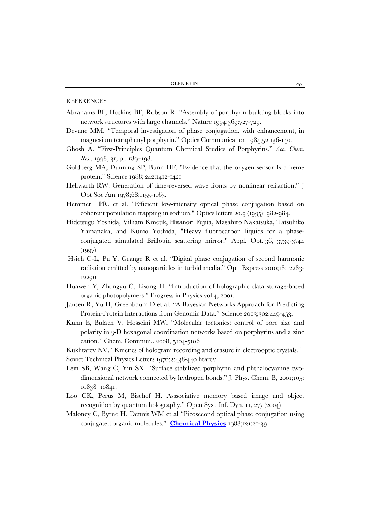#### **REFERENCES**

- Abrahams BF, Hoskins BF, Robson R. "Assembly of porphyrin building blocks into network structures with large channels." Nature 1994;369:727-729.
- Devane MM. "Temporal investigation of phase conjugation, with enhancement, in magnesium tetraphenyl porphyrin." Optics Communication 1984;52:136-140.
- Ghosh A. "First-Principles Quantum Chemical Studies of Porphyrins." *Acc. Chem. Res.*, 1998, 31, pp 189–198.
- Goldberg MA, Dunning SP, Bunn HF. "Evidence that the oxygen sensor Is a heme protein." Science 1988; 242:1412-1421
- Hellwarth RW. Generation of time-reversed wave fronts by nonlinear refraction." J Opt Soc Am 1978;68:1155-1163.
- Hemmer PR. et al. "Efficient low-intensity optical phase conjugation based on coherent population trapping in sodium." Optics letters 20.9 (1995): 982-984.
- Hidetsugu Yoshida, Villiam Kmetik, Hisanori Fujita, Masahiro Nakatsuka, Tatsuhiko Yamanaka, and Kunio Yoshida, "Heavy fluorocarbon liquids for a phaseconjugated stimulated Brillouin scattering mirror," Appl. Opt. 36, 3739-3744 (1997)
- Hsieh C-L, Pu Y, Grange R et al. "Digital phase conjugation of second harmonic radiation emitted by nanoparticles in turbid media." Opt. Express 2010;18:12283- 12290
- Huawen Y, Zhongyu C, Lisong H. "Introduction of holographic data storage-based organic photopolymers." Progress in Physics vol 4, 2001.
- Jansen R, Yu H, Greenbaum D et al. "A Bayesian Networks Approach for Predicting Protein-Protein Interactions from Genomic Data." Science 2003;302:449-453.
- Kuhn E, Bulach V, Hosseini MW. "Molecular tectonics: control of pore size and polarity in 3-D hexagonal coordination networks based on porphyrins and a zinc cation." Chem. Commun., 2008, 5104-5106
- Kukhtarev NV. "Kinetics of hologram recording and erasure in electrooptic crystals."
- Soviet Technical Physics Letters 1976;2:438-440 htarev
- Lein SB, Wang C, Yin SX. "Surface stabilized porphyrin and phthalocyanine twodimensional network connected by hydrogen bonds." J. Phys. Chem. B, 2001;105: 10838–10841.
- Loo CK, Perus M, Bischof H. Asssociative memory based image and object recognition by quantum holography." Open Syst. Inf. Dyn. 11, 277 (2004)
- Maloney C, Byrne H, Dennis WM et al "Picosecond optical phase conjugation using conjugated organic molecules." **[Chemical Physics](http://www.sciencedirect.com/science/journal/03010104)** 1988;121:21-39